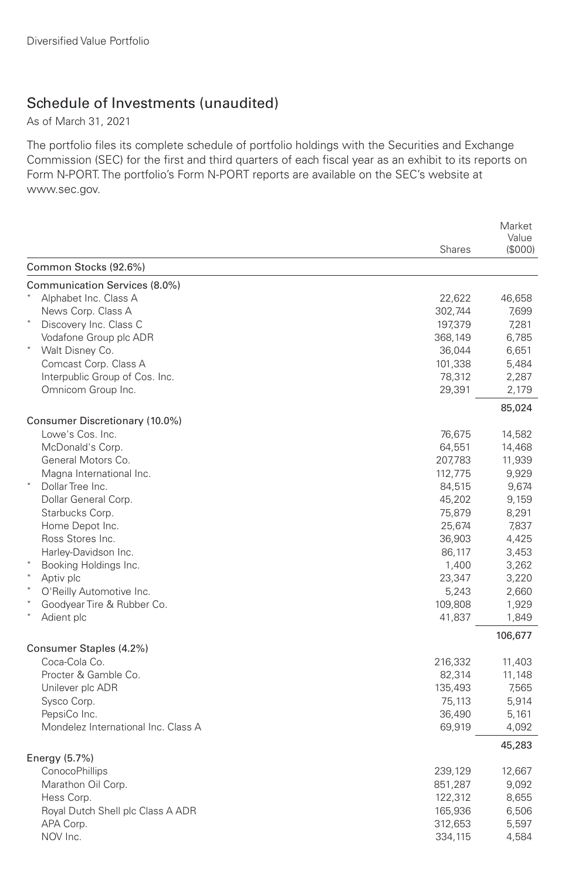## Schedule of Investments (unaudited)

As of March 31, 2021

The portfolio files its complete schedule of portfolio holdings with the Securities and Exchange Commission (SEC) for the first and third quarters of each fiscal year as an exhibit to its reports on Form N-PORT. The portfolio's Form N-PORT reports are available on the SEC's website at www.sec.gov.

|                                     |               | Market<br>Value |
|-------------------------------------|---------------|-----------------|
|                                     | <b>Shares</b> | (\$000)         |
| Common Stocks (92.6%)               |               |                 |
| Communication Services (8.0%)       |               |                 |
| Alphabet Inc. Class A               | 22,622        | 46,658          |
| News Corp. Class A                  | 302,744       | 7,699           |
| Discovery Inc. Class C              | 197,379       | 7,281           |
| Vodafone Group plc ADR              | 368,149       | 6,785           |
| Walt Disney Co.                     | 36,044        | 6,651           |
| Comcast Corp. Class A               | 101,338       | 5,484           |
| Interpublic Group of Cos. Inc.      | 78,312        | 2,287           |
| Omnicom Group Inc.                  | 29,391        | 2,179           |
|                                     |               | 85,024          |
| Consumer Discretionary (10.0%)      |               |                 |
| Lowe's Cos. Inc.                    | 76,675        | 14,582          |
| McDonald's Corp.                    | 64,551        | 14,468          |
| General Motors Co.                  | 207,783       | 11,939          |
| Magna International Inc.            | 112,775       | 9,929           |
| Dollar Tree Inc.                    | 84,515        | 9,674           |
| Dollar General Corp.                | 45,202        | 9,159           |
| Starbucks Corp.                     | 75,879        | 8,291           |
| Home Depot Inc.                     | 25,674        | 7,837           |
| Ross Stores Inc.                    | 36,903        | 4,425           |
| Harley-Davidson Inc.                | 86,117        | 3,453           |
| Booking Holdings Inc.               | 1,400         | 3,262           |
| Aptiv plc                           | 23,347        | 3,220           |
| O'Reilly Automotive Inc.            | 5,243         | 2,660           |
| Goodyear Tire & Rubber Co.          | 109,808       | 1,929           |
| Adient plc                          | 41,837        | 1,849           |
|                                     |               | 106,677         |
| Consumer Staples (4.2%)             |               |                 |
| Coca-Cola Co.                       | 216,332       | 11,403          |
| Procter & Gamble Co.                | 82,314        | 11,148          |
| Unilever plc ADR                    | 135,493       | 7,565           |
| Sysco Corp.                         | 75,113        | 5,914           |
| PepsiCo Inc.                        | 36,490        | 5,161           |
| Mondelez International Inc. Class A | 69,919        | 4,092           |
| Energy $(5.7%)$                     |               | 45,283          |
| ConocoPhillips                      | 239,129       | 12,667          |
| Marathon Oil Corp.                  | 851,287       | 9,092           |
| Hess Corp.                          | 122,312       | 8,655           |
| Royal Dutch Shell plc Class A ADR   | 165,936       | 6,506           |
| APA Corp.                           | 312,653       | 5,597           |
| NOV Inc.                            | 334,115       | 4,584           |
|                                     |               |                 |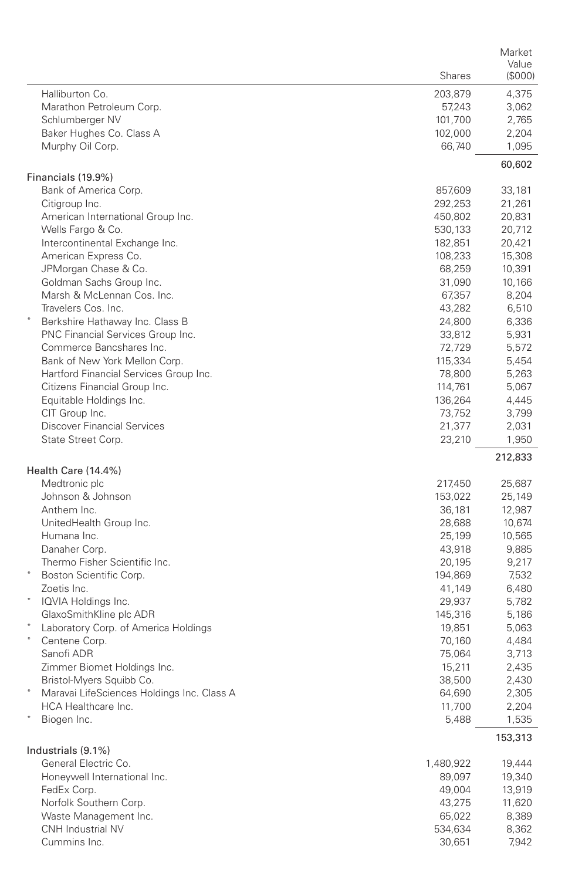|                                                          |                    | Market           |
|----------------------------------------------------------|--------------------|------------------|
|                                                          | <b>Shares</b>      | Value<br>(\$000) |
|                                                          |                    |                  |
| Halliburton Co.                                          | 203,879            | 4,375            |
| Marathon Petroleum Corp.                                 | 57,243             | 3,062            |
| Schlumberger NV                                          | 101,700<br>102,000 | 2,765            |
| Baker Hughes Co. Class A                                 |                    | 2,204<br>1,095   |
| Murphy Oil Corp.                                         | 66,740             |                  |
| Financials (19.9%)                                       |                    | 60,602           |
| Bank of America Corp.                                    | 857,609            | 33,181           |
| Citigroup Inc.                                           | 292,253            | 21,261           |
| American International Group Inc.                        | 450,802            | 20,831           |
| Wells Fargo & Co.                                        | 530,133            | 20,712           |
| Intercontinental Exchange Inc.                           | 182,851            | 20,421           |
| American Express Co.                                     | 108,233            | 15,308           |
| JPMorgan Chase & Co.                                     | 68,259             | 10,391           |
| Goldman Sachs Group Inc.                                 | 31,090             | 10,166           |
| Marsh & McLennan Cos. Inc.                               | 67,357             | 8,204            |
| Travelers Cos. Inc.                                      | 43,282             | 6,510            |
| Berkshire Hathaway Inc. Class B                          | 24,800             | 6,336            |
| PNC Financial Services Group Inc.                        | 33,812             | 5,931            |
| Commerce Bancshares Inc.                                 | 72,729             | 5,572            |
| Bank of New York Mellon Corp.                            | 115,334            | 5,454            |
| Hartford Financial Services Group Inc.                   | 78,800             | 5,263            |
| Citizens Financial Group Inc.<br>Equitable Holdings Inc. | 114,761            | 5,067            |
| CIT Group Inc.                                           | 136,264            | 4,445            |
| <b>Discover Financial Services</b>                       | 73,752<br>21,377   | 3,799<br>2,031   |
| State Street Corp.                                       | 23,210             | 1,950            |
|                                                          |                    | 212,833          |
| Health Care (14.4%)                                      |                    |                  |
| Medtronic plc                                            | 217,450            | 25,687           |
| Johnson & Johnson                                        | 153,022            | 25,149           |
| Anthem Inc.                                              | 36,181             | 12,987           |
| UnitedHealth Group Inc.                                  | 28,688             | 10,674           |
| Humana Inc.                                              | 25,199             | 10,565           |
| Danaher Corp.                                            | 43,918             | 9,885            |
| Thermo Fisher Scientific Inc.                            | 20,195             | 9,217            |
| Boston Scientific Corp.                                  | 194,869            | 7,532            |
| Zoetis Inc.                                              | 41,149             | 6,480            |
| IQVIA Holdings Inc.                                      | 29,937             | 5,782            |
| GlaxoSmithKline plc ADR                                  | 145,316            | 5,186            |
| Laboratory Corp. of America Holdings<br>$\ast$           | 19,851             | 5,063            |
| Centene Corp.                                            | 70,160             | 4,484            |
| Sanofi ADR                                               | 75,064             | 3,713            |
| Zimmer Biomet Holdings Inc.                              | 15,211             | 2,435            |
| Bristol-Myers Squibb Co.                                 | 38,500             | 2,430            |
| Maravai LifeSciences Holdings Inc. Class A               | 64,690             | 2,305            |
| HCA Healthcare Inc.                                      | 11,700<br>5,488    | 2,204            |
| Biogen Inc.                                              |                    | 1,535            |
| Industrials (9.1%)                                       |                    | 153,313          |
| General Electric Co.                                     | 1,480,922          | 19,444           |
| Honeywell International Inc.                             | 89,097             | 19,340           |
| FedEx Corp.                                              | 49,004             | 13,919           |
| Norfolk Southern Corp.                                   | 43,275             | 11,620           |
| Waste Management Inc.                                    | 65,022             | 8,389            |
| CNH Industrial NV                                        | 534,634            | 8,362            |
| Cummins Inc.                                             | 30,651             | 7,942            |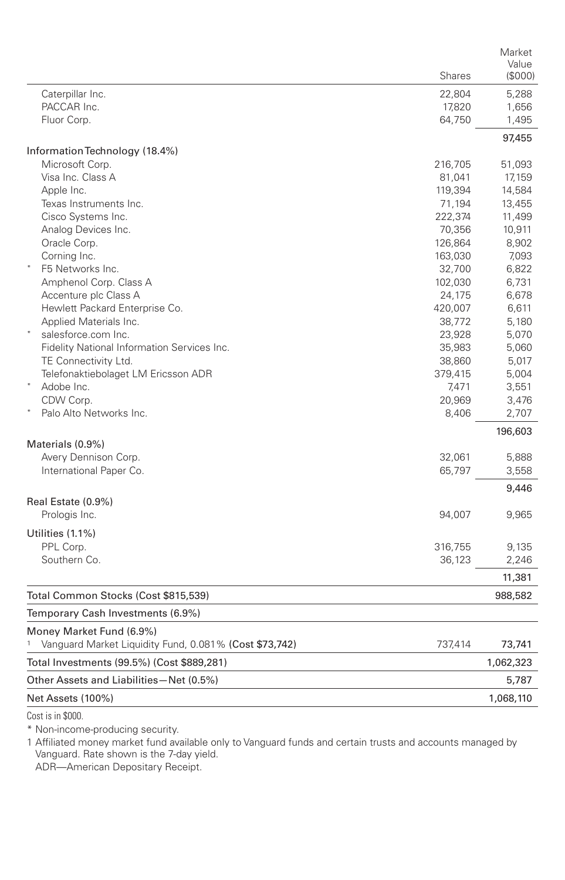|                                                             | <b>Shares</b>     | Market<br>Value<br>(S000) |
|-------------------------------------------------------------|-------------------|---------------------------|
| Caterpillar Inc.                                            | 22,804            | 5,288                     |
| PACCAR Inc.                                                 | 17,820            | 1,656                     |
| Fluor Corp.                                                 | 64,750            | 1,495                     |
|                                                             |                   | 97,455                    |
| Information Technology (18.4%)                              |                   |                           |
| Microsoft Corp.                                             | 216,705           | 51,093                    |
| Visa Inc. Class A<br>Apple Inc.                             | 81,041            | 17,159                    |
| Texas Instruments Inc.                                      | 119,394           | 14,584<br>13,455          |
| Cisco Systems Inc.                                          | 71,194<br>222,374 | 11,499                    |
| Analog Devices Inc.                                         | 70,356            | 10,911                    |
| Oracle Corp.                                                | 126,864           | 8,902                     |
| Corning Inc.                                                | 163,030           | 7,093                     |
| F5 Networks Inc.                                            | 32,700            | 6,822                     |
| Amphenol Corp. Class A                                      | 102,030           | 6,731                     |
| Accenture plc Class A                                       | 24,175            | 6,678                     |
| Hewlett Packard Enterprise Co.                              | 420,007           | 6,611                     |
| Applied Materials Inc.                                      | 38,772            | 5,180                     |
| salesforce.com Inc.                                         | 23,928            | 5,070                     |
| Fidelity National Information Services Inc.                 | 35,983            | 5,060                     |
| TE Connectivity Ltd.                                        | 38,860            | 5,017                     |
| Telefonaktiebolaget LM Ericsson ADR                         | 379,415           | 5,004                     |
| Adobe Inc.                                                  | 7,471             | 3,551                     |
| CDW Corp.                                                   | 20,969            | 3,476                     |
| Palo Alto Networks Inc.                                     | 8,406             | 2,707                     |
| Materials (0.9%)                                            |                   | 196,603                   |
| Avery Dennison Corp.                                        | 32,061            | 5,888                     |
| International Paper Co.                                     | 65,797            | 3,558                     |
|                                                             |                   | 9,446                     |
| Real Estate (0.9%)                                          |                   |                           |
| Prologis Inc.                                               | 94,007            | 9,965                     |
| Utilities (1.1%)                                            |                   |                           |
| PPL Corp.                                                   | 316,755           | 9,135                     |
| Southern Co.                                                | 36,123            | 2,246                     |
|                                                             |                   | 11,381                    |
| Total Common Stocks (Cost \$815,539)                        |                   | 988,582                   |
| Temporary Cash Investments (6.9%)                           |                   |                           |
| Money Market Fund (6.9%)                                    |                   |                           |
| 1<br>Vanguard Market Liquidity Fund, 0.081% (Cost \$73,742) | 737,414           | 73,741                    |
| Total Investments (99.5%) (Cost \$889,281)                  |                   | 1,062,323                 |
| Other Assets and Liabilities-Net (0.5%)                     |                   | 5,787                     |
| Net Assets (100%)                                           |                   | 1,068,110                 |

Cost is in \$000.

\* Non-income-producing security.

1 Affiliated money market fund available only to Vanguard funds and certain trusts and accounts managed by Vanguard. Rate shown is the 7-day yield.

ADR—American Depositary Receipt.